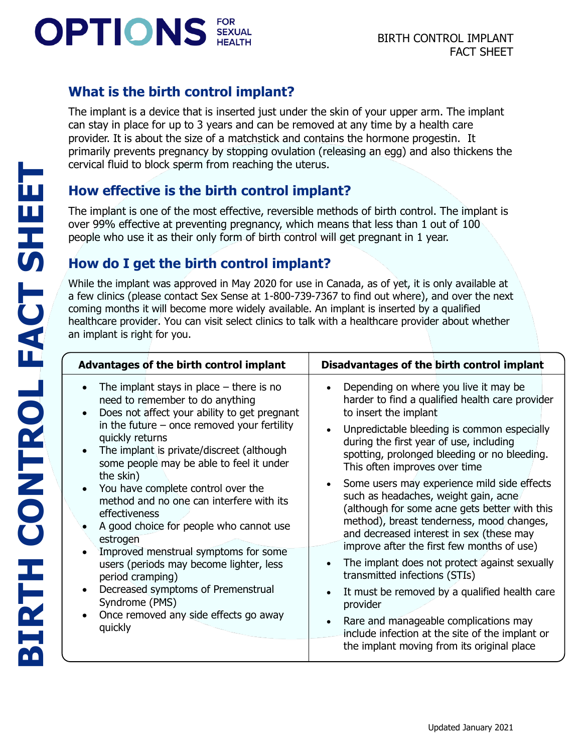# **OPTIONS**

**BIRTH CONTROL FACT SHEET**

**BIRTH CONTROL FACT SHEET** 

# **What is the birth control implant?**

The implant is a device that is inserted just under the skin of your upper arm. The implant can stay in place for up to 3 years and can be removed at any time by a health care provider. It is about the size of a matchstick and contains the hormone progestin. It primarily prevents pregnancy by stopping ovulation (releasing an egg) and also thickens the cervical fluid to block sperm from reaching the uterus.

## **How effective is the birth control implant?**

The implant is one of the most effective, reversible methods of birth control. The implant is over 99% effective at preventing pregnancy, which means that less than 1 out of 100 people who use it as their only form of birth control will get pregnant in 1 year.

# **How do I get the birth control implant?**

While the implant was approved in May 2020 for use in Canada, as of yet, it is only available at a few clinics (please contact Sex Sense at 1-800-739-7367 to find out where), and over the next coming months it will become more widely available. An implant is inserted by a qualified healthcare provider. You can visit select clinics to talk with a healthcare provider about whether an implant is right for you.

| Advantages of the birth control implant                                                                                                                                                                                                                                                                                                                                                                                                                                                                                                                                                                                                                                                                                                               | Disadvantages of the birth control implant                                                                                                                                                                                                                                                                                                                                                                                                                                                                                                                                                                                                                                                                                                                                                                                                                                                                                                         |
|-------------------------------------------------------------------------------------------------------------------------------------------------------------------------------------------------------------------------------------------------------------------------------------------------------------------------------------------------------------------------------------------------------------------------------------------------------------------------------------------------------------------------------------------------------------------------------------------------------------------------------------------------------------------------------------------------------------------------------------------------------|----------------------------------------------------------------------------------------------------------------------------------------------------------------------------------------------------------------------------------------------------------------------------------------------------------------------------------------------------------------------------------------------------------------------------------------------------------------------------------------------------------------------------------------------------------------------------------------------------------------------------------------------------------------------------------------------------------------------------------------------------------------------------------------------------------------------------------------------------------------------------------------------------------------------------------------------------|
| The implant stays in place $-$ there is no<br>$\bullet$<br>need to remember to do anything<br>Does not affect your ability to get pregnant<br>$\bullet$<br>in the future $-$ once removed your fertility<br>quickly returns<br>The implant is private/discreet (although<br>$\bullet$<br>some people may be able to feel it under<br>the skin)<br>You have complete control over the<br>$\bullet$<br>method and no one can interfere with its<br>effectiveness<br>A good choice for people who cannot use<br>estrogen<br>Improved menstrual symptoms for some<br>users (periods may become lighter, less<br>period cramping)<br>Decreased symptoms of Premenstrual<br>$\bullet$<br>Syndrome (PMS)<br>Once removed any side effects go away<br>quickly | Depending on where you live it may be<br>$\bullet$<br>harder to find a qualified health care provider<br>to insert the implant<br>Unpredictable bleeding is common especially<br>$\bullet$<br>during the first year of use, including<br>spotting, prolonged bleeding or no bleeding.<br>This often improves over time<br>Some users may experience mild side effects<br>$\bullet$<br>such as headaches, weight gain, acne<br>(although for some acne gets better with this<br>method), breast tenderness, mood changes,<br>and decreased interest in sex (these may<br>improve after the first few months of use)<br>The implant does not protect against sexually<br>$\bullet$<br>transmitted infections (STIs)<br>It must be removed by a qualified health care<br>$\bullet$<br>provider<br>Rare and manageable complications may<br>$\bullet$<br>include infection at the site of the implant or<br>the implant moving from its original place |